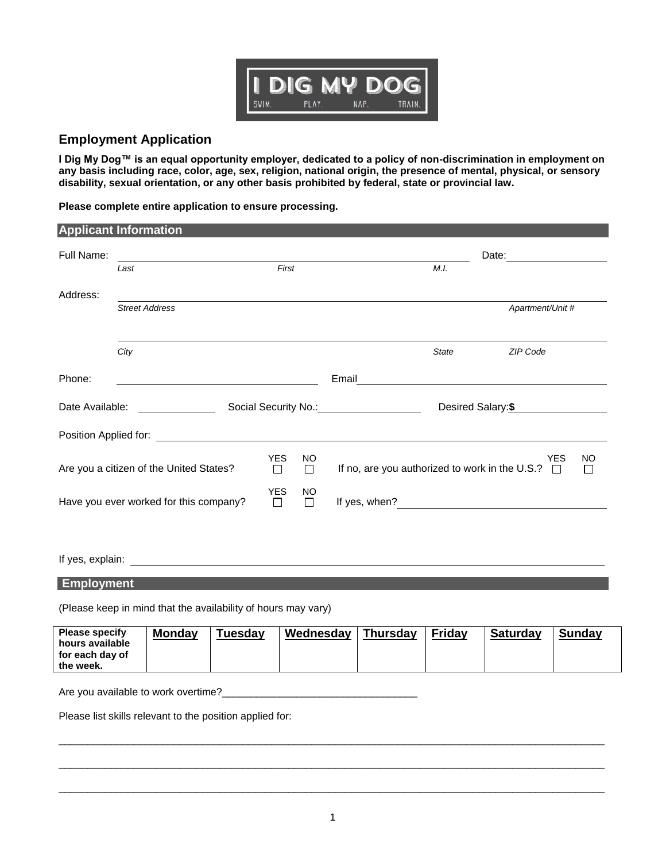

## **Employment Application**

**I Dig My Dog™ is an equal opportunity employer, dedicated to a policy of non-discrimination in employment on any basis including race, color, age, sex, religion, national origin, the presence of mental, physical, or sensory disability, sexual orientation, or any other basis prohibited by federal, state or provincial law.**

**Please complete entire application to ensure processing.**

|                                                                          | <b>Applicant Information</b>                                                                                                                                                                                                         |  |                      |                     |               |              |                                                                                                                       |                |
|--------------------------------------------------------------------------|--------------------------------------------------------------------------------------------------------------------------------------------------------------------------------------------------------------------------------------|--|----------------------|---------------------|---------------|--------------|-----------------------------------------------------------------------------------------------------------------------|----------------|
| Full Name:                                                               |                                                                                                                                                                                                                                      |  |                      |                     |               |              | Date:                                                                                                                 |                |
|                                                                          | First<br>Last                                                                                                                                                                                                                        |  |                      |                     | M.I.          |              |                                                                                                                       |                |
| Address:                                                                 |                                                                                                                                                                                                                                      |  |                      |                     |               |              |                                                                                                                       |                |
|                                                                          | <b>Street Address</b>                                                                                                                                                                                                                |  |                      |                     |               |              | Apartment/Unit #                                                                                                      |                |
|                                                                          | City                                                                                                                                                                                                                                 |  |                      |                     |               | <b>State</b> | ZIP Code                                                                                                              |                |
| Phone:                                                                   |                                                                                                                                                                                                                                      |  |                      |                     | Email         |              |                                                                                                                       |                |
| Date Available:<br>Social Security No.: No.: Note that the security No.: |                                                                                                                                                                                                                                      |  | Desired Salary:\$    |                     |               |              |                                                                                                                       |                |
|                                                                          | Position Applied for: <u>contract the contract of the contract of the contract of the contract of the contract of the contract of the contract of the contract of the contract of the contract of the contract of the contract o</u> |  |                      |                     |               |              |                                                                                                                       |                |
| Are you a citizen of the United States?                                  |                                                                                                                                                                                                                                      |  | <b>YES</b><br>$\Box$ | <b>NO</b><br>$\Box$ |               |              | <b>YES</b><br>If no, are you authorized to work in the U.S.? $\Box$                                                   | <b>NO</b><br>П |
| Have you ever worked for this company?                                   |                                                                                                                                                                                                                                      |  | <b>YES</b><br>$\Box$ | NO<br>$\Box$        | If yes, when? |              | <u> 1989 - Andrea State Barbara, president a la provincia de la provincia de la provincia de la provincia de la p</u> |                |
|                                                                          |                                                                                                                                                                                                                                      |  |                      |                     |               |              |                                                                                                                       |                |

If yes, explain:

## **Employment**

(Please keep in mind that the availability of hours may vary)

| <b>Please specify</b><br><b>Mondav</b><br>Tuesday<br>hours available<br>for each day of<br>the week. | Wednesday<br><b>Thursday</b> | Friday<br><b>Saturday</b> | Sundav |
|------------------------------------------------------------------------------------------------------|------------------------------|---------------------------|--------|
|------------------------------------------------------------------------------------------------------|------------------------------|---------------------------|--------|

Are you available to work overtime?<br>

Please list skills relevant to the position applied for:

 $\overline{\phantom{a}}$  ,  $\overline{\phantom{a}}$  ,  $\overline{\phantom{a}}$  ,  $\overline{\phantom{a}}$  ,  $\overline{\phantom{a}}$  ,  $\overline{\phantom{a}}$  ,  $\overline{\phantom{a}}$  ,  $\overline{\phantom{a}}$  ,  $\overline{\phantom{a}}$  ,  $\overline{\phantom{a}}$  ,  $\overline{\phantom{a}}$  ,  $\overline{\phantom{a}}$  ,  $\overline{\phantom{a}}$  ,  $\overline{\phantom{a}}$  ,  $\overline{\phantom{a}}$  ,  $\overline{\phantom{a}}$ 

 $\overline{\phantom{a}}$  ,  $\overline{\phantom{a}}$  ,  $\overline{\phantom{a}}$  ,  $\overline{\phantom{a}}$  ,  $\overline{\phantom{a}}$  ,  $\overline{\phantom{a}}$  ,  $\overline{\phantom{a}}$  ,  $\overline{\phantom{a}}$  ,  $\overline{\phantom{a}}$  ,  $\overline{\phantom{a}}$  ,  $\overline{\phantom{a}}$  ,  $\overline{\phantom{a}}$  ,  $\overline{\phantom{a}}$  ,  $\overline{\phantom{a}}$  ,  $\overline{\phantom{a}}$  ,  $\overline{\phantom{a}}$ 

 $\overline{\phantom{a}}$  ,  $\overline{\phantom{a}}$  ,  $\overline{\phantom{a}}$  ,  $\overline{\phantom{a}}$  ,  $\overline{\phantom{a}}$  ,  $\overline{\phantom{a}}$  ,  $\overline{\phantom{a}}$  ,  $\overline{\phantom{a}}$  ,  $\overline{\phantom{a}}$  ,  $\overline{\phantom{a}}$  ,  $\overline{\phantom{a}}$  ,  $\overline{\phantom{a}}$  ,  $\overline{\phantom{a}}$  ,  $\overline{\phantom{a}}$  ,  $\overline{\phantom{a}}$  ,  $\overline{\phantom{a}}$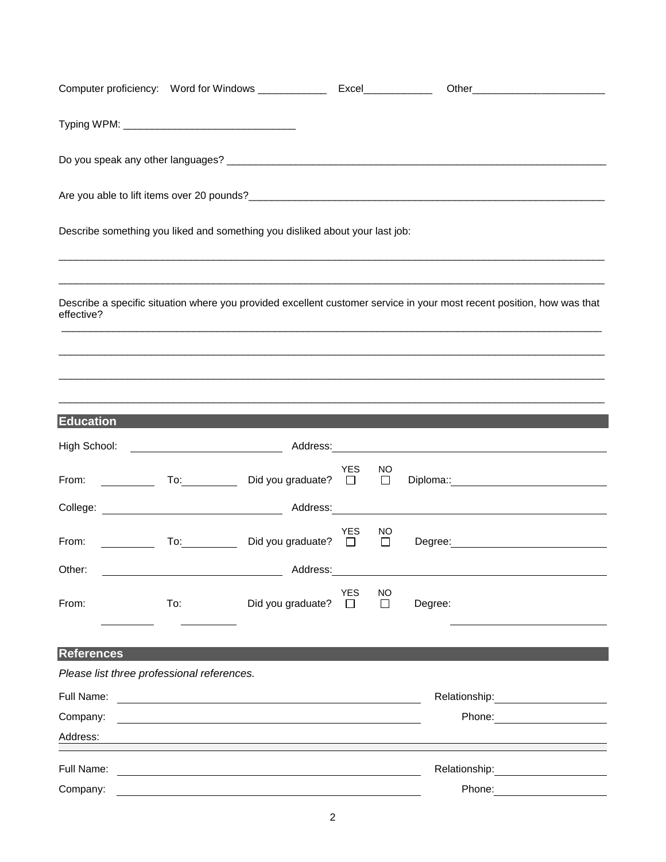|                                                                                                                                                                                                                                |     | Describe something you liked and something you disliked about your last job:                                           |                      |                     |         |                                                                                                                                                                                                                                |
|--------------------------------------------------------------------------------------------------------------------------------------------------------------------------------------------------------------------------------|-----|------------------------------------------------------------------------------------------------------------------------|----------------------|---------------------|---------|--------------------------------------------------------------------------------------------------------------------------------------------------------------------------------------------------------------------------------|
|                                                                                                                                                                                                                                |     |                                                                                                                        |                      |                     |         |                                                                                                                                                                                                                                |
| effective?                                                                                                                                                                                                                     |     | Describe a specific situation where you provided excellent customer service in your most recent position, how was that |                      |                     |         |                                                                                                                                                                                                                                |
|                                                                                                                                                                                                                                |     |                                                                                                                        |                      |                     |         |                                                                                                                                                                                                                                |
|                                                                                                                                                                                                                                |     |                                                                                                                        |                      |                     |         |                                                                                                                                                                                                                                |
| <b>Education</b>                                                                                                                                                                                                               |     |                                                                                                                        |                      |                     |         |                                                                                                                                                                                                                                |
|                                                                                                                                                                                                                                |     |                                                                                                                        |                      |                     |         |                                                                                                                                                                                                                                |
|                                                                                                                                                                                                                                |     |                                                                                                                        | YES                  | NO.<br>$\Box$       |         |                                                                                                                                                                                                                                |
|                                                                                                                                                                                                                                |     |                                                                                                                        |                      |                     |         |                                                                                                                                                                                                                                |
| From: The contract of the contract of the contract of the contract of the contract of the contract of the contract of the contract of the contract of the contract of the contract of the contract of the contract of the cont |     | To: Did you graduate? □                                                                                                | YES                  | NO.<br>$\Box$       |         | Degree: <u>www.community.com</u>                                                                                                                                                                                               |
| Other:                                                                                                                                                                                                                         |     | Address:                                                                                                               |                      |                     |         |                                                                                                                                                                                                                                |
| From:                                                                                                                                                                                                                          | To: | Did you graduate?                                                                                                      | <b>YES</b><br>$\Box$ | <b>NO</b><br>$\Box$ | Degree: |                                                                                                                                                                                                                                |
|                                                                                                                                                                                                                                |     |                                                                                                                        |                      |                     |         |                                                                                                                                                                                                                                |
| <b>References</b>                                                                                                                                                                                                              |     |                                                                                                                        |                      |                     |         |                                                                                                                                                                                                                                |
| Please list three professional references.                                                                                                                                                                                     |     |                                                                                                                        |                      |                     |         |                                                                                                                                                                                                                                |
| Full Name:                                                                                                                                                                                                                     |     | <u> 1980 - Jan Samuel Barbara, margaret e populazion del control del control del control del control de la provi</u>   |                      |                     |         | Relationship: Network of the state of the state of the state of the state of the state of the state of the state of the state of the state of the state of the state of the state of the state of the state of the state of th |
| Company:                                                                                                                                                                                                                       |     |                                                                                                                        |                      |                     |         |                                                                                                                                                                                                                                |
| Address:                                                                                                                                                                                                                       |     |                                                                                                                        |                      |                     |         |                                                                                                                                                                                                                                |
| Full Name:                                                                                                                                                                                                                     |     |                                                                                                                        |                      |                     |         | Relationship: <u>_______________</u>                                                                                                                                                                                           |
| Company:                                                                                                                                                                                                                       |     |                                                                                                                        |                      |                     |         | Phone: 2008                                                                                                                                                                                                                    |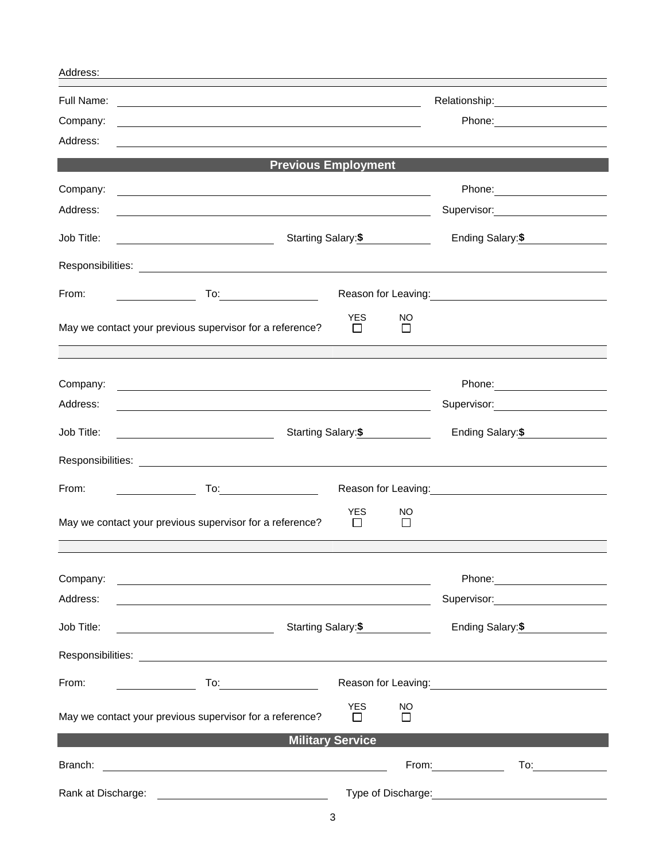| Address:               |                                                                                                                                                                                   |                         |                     |                                                                                                                                                                                                                                |
|------------------------|-----------------------------------------------------------------------------------------------------------------------------------------------------------------------------------|-------------------------|---------------------|--------------------------------------------------------------------------------------------------------------------------------------------------------------------------------------------------------------------------------|
| Full Name:<br>Company: | <u> 1989 - Johann Barn, mars ann an t-Amhainn an t-Amhainn an t-Amhainn an t-Amhainn an t-Amhainn an t-Amhainn an</u><br><u> 1980 - Johann Barbara, martxa amerikan bashkar (</u> | Phone: 2008             |                     |                                                                                                                                                                                                                                |
| Address:               |                                                                                                                                                                                   |                         |                     |                                                                                                                                                                                                                                |
|                        | <b>Previous Employment</b>                                                                                                                                                        |                         |                     |                                                                                                                                                                                                                                |
| Company:<br>Address:   | <u> 1989 - Johann Stoff, Amerikaansk politiker († 1989)</u>                                                                                                                       |                         |                     |                                                                                                                                                                                                                                |
|                        | <u> 1989 - Johann Stein, mars an deus Amerikaansk kommunister (</u>                                                                                                               |                         |                     | Supervisor: _______________________                                                                                                                                                                                            |
| Job Title:             | Starting Salary: \$                                                                                                                                                               |                         |                     | Ending Salary: \$                                                                                                                                                                                                              |
|                        |                                                                                                                                                                                   |                         |                     |                                                                                                                                                                                                                                |
| From:                  |                                                                                                                                                                                   |                         |                     | Reason for Leaving:<br><u>Neason</u> for Leaving:                                                                                                                                                                              |
|                        | May we contact your previous supervisor for a reference?                                                                                                                          | <b>YES</b><br>$\Box$    | NO.<br>$\Box$       |                                                                                                                                                                                                                                |
|                        |                                                                                                                                                                                   |                         |                     |                                                                                                                                                                                                                                |
| Company:               | <u> 1980 - Johann Barn, fransk politik (f. 1980)</u>                                                                                                                              |                         |                     |                                                                                                                                                                                                                                |
| Address:               | <u> 1989 - Johann Barn, fransk politik (f. 1989)</u>                                                                                                                              |                         |                     | Supervisor: 2000                                                                                                                                                                                                               |
| Job Title:             |                                                                                                                                                                                   |                         | Starting Salary: \$ | Ending Salary: \$                                                                                                                                                                                                              |
|                        |                                                                                                                                                                                   |                         |                     |                                                                                                                                                                                                                                |
| From:                  |                                                                                                                                                                                   |                         |                     | Reason for Leaving:<br><u>Neason</u> for Leaving:                                                                                                                                                                              |
|                        | May we contact your previous supervisor for a reference?                                                                                                                          | <b>YES</b><br>$\Box$    | NO.<br>$\Box$       |                                                                                                                                                                                                                                |
|                        |                                                                                                                                                                                   |                         |                     |                                                                                                                                                                                                                                |
| Company:               |                                                                                                                                                                                   |                         |                     | Phone: <u>_______________________</u>                                                                                                                                                                                          |
| Address:               |                                                                                                                                                                                   |                         |                     |                                                                                                                                                                                                                                |
| Job Title:             | Starting Salary: \$                                                                                                                                                               |                         |                     | Ending Salary:\$                                                                                                                                                                                                               |
|                        |                                                                                                                                                                                   |                         |                     |                                                                                                                                                                                                                                |
| From:                  | $\overline{a}$ To: $\overline{a}$ To:                                                                                                                                             |                         |                     | Reason for Leaving:<br><u> Case of the Season for Leaving:</u>                                                                                                                                                                 |
|                        | May we contact your previous supervisor for a reference?                                                                                                                          | <b>YES</b><br>$\Box$    | NO.<br>$\Box$       |                                                                                                                                                                                                                                |
|                        |                                                                                                                                                                                   | <b>Military Service</b> |                     |                                                                                                                                                                                                                                |
| Branch:                |                                                                                                                                                                                   |                         |                     | From: Note and the set of the set of the set of the set of the set of the set of the set of the set of the set of the set of the set of the set of the set of the set of the set of the set of the set of the set of the set o |
| Rank at Discharge:     | <u> 1980 - Johann Barn, fransk politik (d. 1980)</u>                                                                                                                              |                         |                     |                                                                                                                                                                                                                                |